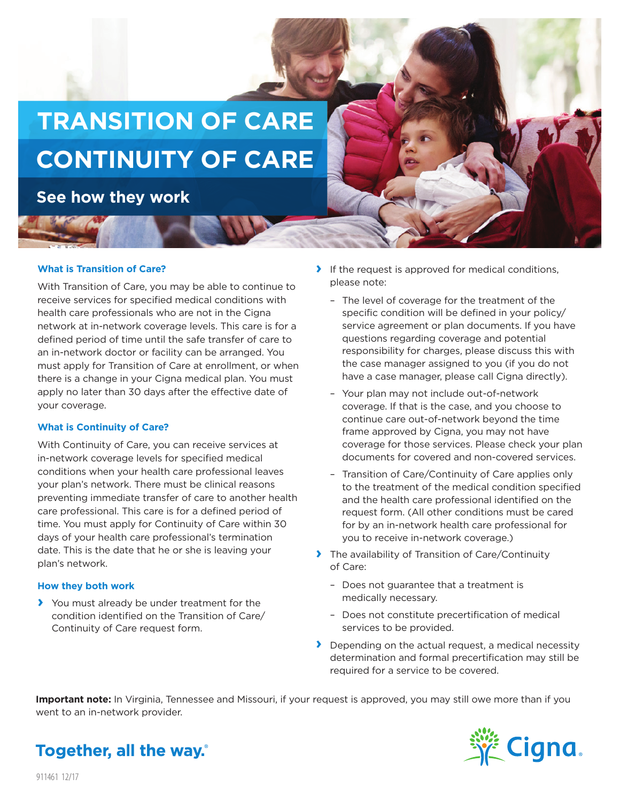

**See how they work**

#### **What is Transition of Care?**

With Transition of Care, you may be able to continue to receive services for specified medical conditions with health care professionals who are not in the Cigna network at in-network coverage levels. This care is for a defined period of time until the safe transfer of care to an in-network doctor or facility can be arranged. You must apply for Transition of Care at enrollment, or when there is a change in your Cigna medical plan. You must apply no later than 30 days after the effective date of your coverage.

#### **What is Continuity of Care?**

With Continuity of Care, you can receive services at in-network coverage levels for specified medical conditions when your health care professional leaves your plan's network. There must be clinical reasons preventing immediate transfer of care to another health care professional. This care is for a defined period of time. You must apply for Continuity of Care within 30 days of your health care professional's termination date. This is the date that he or she is leaving your plan's network.

#### **How they both work**

**›** You must already be under treatment for the condition identified on the Transition of Care/ Continuity of Care request form.

- **›** If the request is approved for medical conditions, please note:
	- –The level of coverage for the treatment of the specific condition will be defined in your policy/ service agreement or plan documents. If you have questions regarding coverage and potential responsibility for charges, please discuss this with the case manager assigned to you (if you do not have a case manager, please call Cigna directly).
	- –Your plan may not include out-of-network coverage. If that is the case, and you choose to continue care out-of-network beyond the time frame approved by Cigna, you may not have coverage for those services. Please check your plan documents for covered and non-covered services.
	- –Transition of Care/Continuity of Care applies only to the treatment of the medical condition specified and the health care professional identified on the request form. (All other conditions must be cared for by an in-network health care professional for you to receive in-network coverage.)
- **›** The availability of Transition of Care/Continuity of Care:
	- –Does not guarantee that a treatment is medically necessary.
	- –Does not constitute precertification of medical services to be provided.
- **›** Depending on the actual request, a medical necessity determination and formal precertification may still be required for a service to be covered.

**Important note:** In Virginia, Tennessee and Missouri, if your request is approved, you may still owe more than if you went to an in-network provider.



# Together, all the way.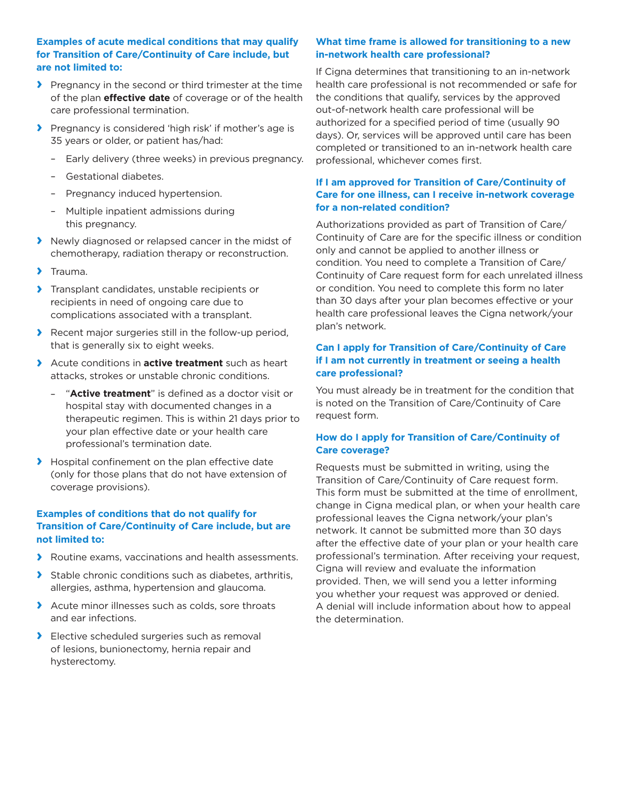## **Examples of acute medical conditions that may qualify for Transition of Care/Continuity of Care include, but are not limited to:**

- **›** Pregnancy in the second or third trimester at the time of the plan **effective date** of coverage or of the health care professional termination.
- **›** Pregnancy is considered 'high risk' if mother's age is 35 years or older, or patient has/had:
	- –Early delivery (three weeks) in previous pregnancy.
	- –Gestational diabetes.
	- –Pregnancy induced hypertension.
	- –Multiple inpatient admissions during this pregnancy.
- **›** Newly diagnosed or relapsed cancer in the midst of chemotherapy, radiation therapy or reconstruction.
- **›** Trauma.
- **›** Transplant candidates, unstable recipients or recipients in need of ongoing care due to complications associated with a transplant.
- **›** Recent major surgeries still in the follow-up period, that is generally six to eight weeks.
- **›** Acute conditions in **active treatment** such as heart attacks, strokes or unstable chronic conditions.
	- –"**Active treatment**" is defined as a doctor visit or hospital stay with documented changes in a therapeutic regimen. This is within 21 days prior to your plan effective date or your health care professional's termination date.
- **›** Hospital confinement on the plan effective date (only for those plans that do not have extension of coverage provisions).

# **Examples of conditions that do not qualify for Transition of Care/Continuity of Care include, but are not limited to:**

- **›** Routine exams, vaccinations and health assessments.
- **›** Stable chronic conditions such as diabetes, arthritis, allergies, asthma, hypertension and glaucoma.
- **›** Acute minor illnesses such as colds, sore throats and ear infections.
- **›** Elective scheduled surgeries such as removal of lesions, bunionectomy, hernia repair and hysterectomy.

### **What time frame is allowed for transitioning to a new in-network health care professional?**

If Cigna determines that transitioning to an in-network health care professional is not recommended or safe for the conditions that qualify, services by the approved out-of-network health care professional will be authorized for a specified period of time (usually 90 days). Or, services will be approved until care has been completed or transitioned to an in-network health care professional, whichever comes first.

# **If I am approved for Transition of Care/Continuity of Care for one illness, can I receive in-network coverage for a non-related condition?**

Authorizations provided as part of Transition of Care/ Continuity of Care are for the specific illness or condition only and cannot be applied to another illness or condition. You need to complete a Transition of Care/ Continuity of Care request form for each unrelated illness or condition. You need to complete this form no later than 30 days after your plan becomes effective or your health care professional leaves the Cigna network/your plan's network.

# **Can I apply for Transition of Care/Continuity of Care if I am not currently in treatment or seeing a health care professional?**

You must already be in treatment for the condition that is noted on the Transition of Care/Continuity of Care request form.

# **How do I apply for Transition of Care/Continuity of Care coverage?**

Requests must be submitted in writing, using the Transition of Care/Continuity of Care request form. This form must be submitted at the time of enrollment, change in Cigna medical plan, or when your health care professional leaves the Cigna network/your plan's network. It cannot be submitted more than 30 days after the effective date of your plan or your health care professional's termination. After receiving your request, Cigna will review and evaluate the information provided. Then, we will send you a letter informing you whether your request was approved or denied. A denial will include information about how to appeal the determination.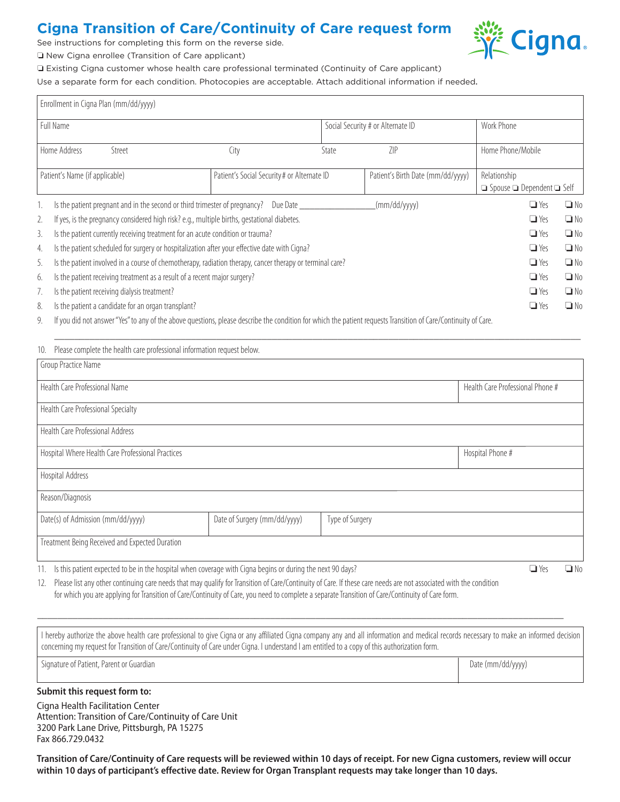# **Cigna Transition of Care/Continuity of Care request form**

See instructions for completing this form on the reverse side.

O New Cigna enrollee (Transition of Care applicant)

o Existing Cigna customer whose health care professional terminated (Continuity of Care applicant)

Use a separate form for each condition. Photocopies are acceptable. Attach additional information if needed.

| Enrollment in Cigna Plan (mm/dd/yyyy) |                                                                                                                                                              |                                             |                                   |                                   |                                                            |           |  |  |
|---------------------------------------|--------------------------------------------------------------------------------------------------------------------------------------------------------------|---------------------------------------------|-----------------------------------|-----------------------------------|------------------------------------------------------------|-----------|--|--|
| Full Name                             |                                                                                                                                                              |                                             |                                   | Social Security # or Alternate ID | Work Phone                                                 |           |  |  |
|                                       | Home Address<br>Street                                                                                                                                       | City                                        | State                             | 7IP                               | Home Phone/Mobile                                          |           |  |  |
|                                       | Patient's Name (if applicable)                                                                                                                               | Patient's Social Security # or Alternate ID | Patient's Birth Date (mm/dd/yyyy) |                                   | Relationship<br>$\Box$ Spouse $\Box$ Dependent $\Box$ Self |           |  |  |
|                                       | Is the patient pregnant and in the second or third trimester of pregnancy? Due Date                                                                          |                                             |                                   | (mm/dd/yyyy)                      | $\Box$ Yes                                                 | $\Box$ No |  |  |
| 2.                                    | If yes, is the pregnancy considered high risk? e.g., multiple births, gestational diabetes.                                                                  |                                             |                                   |                                   | $\Box$ Yes                                                 | $\Box$ No |  |  |
| 3.                                    | Is the patient currently receiving treatment for an acute condition or trauma?                                                                               |                                             |                                   |                                   | $\Box$ Yes                                                 | $\Box$ No |  |  |
| 4.                                    | Is the patient scheduled for surgery or hospitalization after your effective date with Cigna?                                                                | $\Box$ Yes                                  | $\Box$ No                         |                                   |                                                            |           |  |  |
| 5.                                    | Is the patient involved in a course of chemotherapy, radiation therapy, cancer therapy or terminal care?                                                     | $\Box$ Yes                                  | $\n  Q No$                        |                                   |                                                            |           |  |  |
| 6.                                    | Is the patient receiving treatment as a result of a recent major surgery?                                                                                    | $\Box$ Yes                                  | $\Box$ No                         |                                   |                                                            |           |  |  |
|                                       | Is the patient receiving dialysis treatment?                                                                                                                 | $\Box$ Yes                                  | $\Box$ No                         |                                   |                                                            |           |  |  |
| 8.                                    | Is the patient a candidate for an organ transplant?                                                                                                          |                                             |                                   | $\Box$ Yes                        | $\Box$ No                                                  |           |  |  |
| $\cap$                                | If you did not apoyar "Vac" to any of the above questions, place describe the condition for which the patient requests Transition of Carol(optimuity of Caro |                                             |                                   |                                   |                                                            |           |  |  |

9. If you did not answer "Yes" to any of the above questions, please describe the condition for which the patient requests Transition of Care/Continuity of Care.

| Please complete the health care professional information request below.<br>10.                                                          |                                  |                 |  |  |  |  |  |  |  |
|-----------------------------------------------------------------------------------------------------------------------------------------|----------------------------------|-----------------|--|--|--|--|--|--|--|
| Group Practice Name                                                                                                                     |                                  |                 |  |  |  |  |  |  |  |
| Health Care Professional Name                                                                                                           | Health Care Professional Phone # |                 |  |  |  |  |  |  |  |
| Health Care Professional Specialty                                                                                                      |                                  |                 |  |  |  |  |  |  |  |
| <b>Health Care Professional Address</b>                                                                                                 |                                  |                 |  |  |  |  |  |  |  |
| Hospital Where Health Care Professional Practices                                                                                       | Hospital Phone #                 |                 |  |  |  |  |  |  |  |
| Hospital Address                                                                                                                        |                                  |                 |  |  |  |  |  |  |  |
| Reason/Diagnosis                                                                                                                        |                                  |                 |  |  |  |  |  |  |  |
| Date(s) of Admission (mm/dd/yyyy)                                                                                                       | Date of Surgery (mm/dd/yyyy)     | Type of Surgery |  |  |  |  |  |  |  |
| Treatment Being Received and Expected Duration                                                                                          |                                  |                 |  |  |  |  |  |  |  |
| $\Box$ $\vee$<br>$\Box$<br>11 Lethic patient evereted to be in the because curbon coverage with Gana begins as during the next 00 days? |                                  |                 |  |  |  |  |  |  |  |

\_\_\_\_\_\_\_\_\_\_\_\_\_\_\_\_\_\_\_\_\_\_\_\_\_\_\_\_\_\_\_\_\_\_\_\_\_\_\_\_\_\_\_\_\_\_\_\_\_\_\_\_\_\_\_\_\_\_\_\_\_\_\_\_\_\_\_\_\_\_\_\_\_\_\_\_\_\_\_\_\_\_\_\_\_\_\_\_\_\_\_\_\_\_\_\_\_\_\_\_\_\_\_\_

11. Is this patient expected to be in the hospital when coverage with Cigna begins or during the next 90 days? Only a November 2011 Note of the North Capacity of North Cigna begins or during the next 90 days?

12. Please list any other continuing care needs that may qualify for Transition of Care/Continuity of Care. If these care needs are not associated with the condition for which you are applying for Transition of Care/Continuity of Care, you need to complete a separate Transition of Care/Continuity of Care form.

I hereby authorize the above health care professional to give Cigna or any affiliated Cigna company any and all information and medical records necessary to make an informed decision concerning my request for Transition of Care/Continuity of Care under Cigna. I understand I am entitled to a copy of this authorization form.

\_\_\_\_\_\_\_\_\_\_\_\_\_\_\_\_\_\_\_\_\_\_\_\_\_\_\_\_\_\_\_\_\_\_\_\_\_\_\_\_\_\_\_\_\_\_\_\_\_\_\_\_\_\_\_\_\_\_\_\_\_\_\_\_\_\_\_\_\_\_\_\_\_\_\_\_\_\_\_\_\_\_\_\_\_\_\_\_\_\_\_\_\_\_\_\_\_\_\_\_\_\_\_\_

Signature of Patient, Parent or Guardian Date (mm/dd/yyyy) and Date (mm/dd/yyyyy)

### **Submit this request form to:**

Cigna Health Facilitation Center Attention: Transition of Care/Continuity of Care Unit 3200 Park Lane Drive, Pittsburgh, PA 15275 Fax 866.729.0432

**Transition of Care/Continuity of Care requests will be reviewed within 10 days of receipt. For new Cigna customers, review will occur within 10 days of participant's effective date. Review for Organ Transplant requests may take longer than 10 days.**